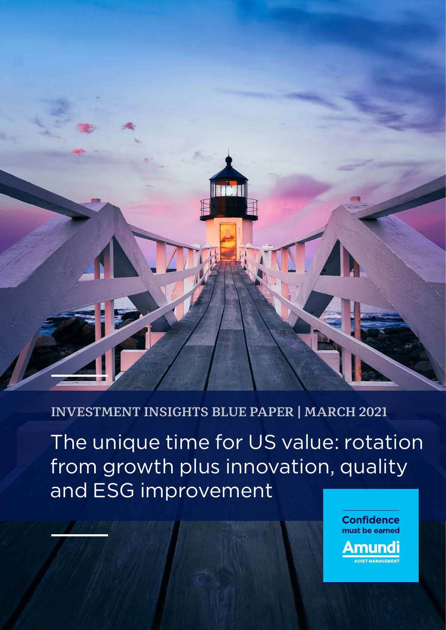

## **INVESTMENT INSIGHTS BLUE PAPER | MARCH 2021**

The unique time for US value: rotation from growth plus innovation, quality and ESG improvement

> **Confidence** must be earned **mundi** .<br>Set Management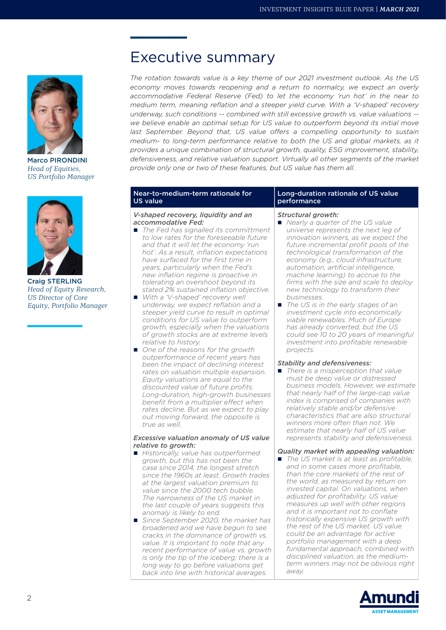

Marco PIRONDINI *Head of Equities, US Portfolio Manager*



Craig STERLING *Head of Equity Research, US Director of Core Equity, Portfolio Manager*

## Executive summary

*The rotation towards value is a key theme of our 2021 investment outlook. As the US economy moves towards reopening and a return to normalcy, we expect an overly accommodative Federal Reserve (Fed) to let the economy 'run hot' in the near to medium term, meaning reflation and a steeper yield curve. With a 'V-shaped' recovery underway, such conditions -- combined with still excessive growth vs. value valuations - we believe enable an optimal setup for US value to outperform beyond its initial move last September. Beyond that, US value offers a compelling opportunity to sustain medium- to long-term performance relative to both the US and global markets, as it provides a unique combination of structural growth, quality, ESG improvement, stability, defensiveness, and relative valuation support. Virtually all other segments of the market provide only one or two of these features, but US value has them all.*

#### Near-to-medium-term rationale for US value

#### *V-shaped recovery, liquidity and an accommodative Fed:*

- *The Fed has signalled its committment to low rates for the foreseeable future and that it will let the economy 'run hot'. As a result, inflation expectations have surfaced for the first time in years, particularly when the Fed's new inflation regime is proactive in tolerating an overshoot beyond its stated 2% sustained inflation objective.*
- *With a 'V-shaped' recovery well underway, we expect reflation and a steeper yield curve to result in optimal conditions for US value to outperform growth, especially when the valuations of growth stocks are at extreme levels relative to history.*
- One of the reasons for the growth *outperformance of recent years has been the impact of declining interest rates on valuation multiple expansion. Equity valuations are equal to the discounted value of future profits. Long-duration, high-growth businesses benefit from a multiplier effect when rates decline. But as we expect to play out moving forward, the opposite is true as well.*

#### *Excessive valuation anomaly of US value relative to growth:*

- *Historically, value has outperformed growth, but this has not been the case since 2014, the longest stretch since the 1960s at least. Growth trades at the largest valuation premium to value since the 2000 tech bubble. The narrowness of the US market in the last couple of years suggests this anomaly is likely to end.*
- *Since September 2020, the market has broadened and we have begun to see cracks in the dominance of growth vs. value. It is important to note that any recent performance of value vs. growth is only the tip of the iceberg; there is a long way to go before valuations get back into line with historical averages.*

#### Long-duration rationale of US value performance

#### *Structural growth:*

- *Nearly a quarter of the US value universe represents the next leg of innovation winners, as we expect the future incremental profit pools of the technological transformation of the economy (e.g., cloud infrastructure, automation, artificial intelligence, machine learning) to accrue to the firms with the size and scale to deploy new technology to transform their businesses.*
- *The US is in the early stages of an investment cycle into economically viable renewables. Much of Europe has already converted, but the US could see 10 to 20 years of meaningful investment into profitable renewable projects.*

#### *Stability and defensiveness:*

 *There is a misperception that value must be deep value or distressed business models. However, we estimate that nearly half of the large-cap value index is comprised of companies with relatively stable and/or defensive characteristics that are also structural winners more often than not. We estimate that nearly half of US value represents stability and defensiveness.*

#### *Quality market with appealing valuation:*

■ *The US market is at least as profitable, and in some cases more profitable, than the core markets of the rest of the world, as measured by return on invested capital. On valuations, when adjusted for profitability, US value measures up well with other regions and it is important not to conflate historically expensive US growth with the rest of the US market. US value could be an advantage for active portfolio management with a deep fundamental approach, combined with disciplined valuation, as the mediumterm winners may not be obvious right away.*

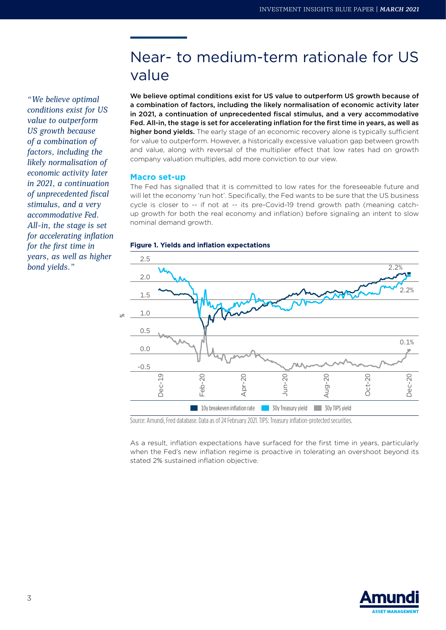*"We believe optimal conditions exist for US value to outperform US growth because of a combination of factors, including the likely normalisation of economic activity later in 2021, a continuation of unprecedented fiscal stimulus, and a very accommodative Fed. All-in, the stage is set for accelerating inflation for the first time in years, as well as higher bond yields."*

# Near- to medium-term rationale for US value

We believe optimal conditions exist for US value to outperform US growth because of a combination of factors, including the likely normalisation of economic activity later in 2021, a continuation of unprecedented fiscal stimulus, and a very accommodative Fed. All-in, the stage is set for accelerating inflation for the first time in years, as well as higher bond yields. The early stage of an economic recovery alone is typically sufficient for value to outperform. However, a historically excessive valuation gap between growth and value, along with reversal of the multiplier effect that low rates had on growth company valuation multiples, add more conviction to our view.

### **Macro set-up**

The Fed has signalled that it is committed to low rates for the foreseeable future and will let the economy 'run hot'. Specifically, the Fed wants to be sure that the US business cycle is closer to -- if not at -- its pre-Covid-19 trend growth path (meaning catchup growth for both the real economy and inflation) before signaling an intent to slow nominal demand growth.

**Figure 1. Yields and inflation expectations**



Source: Amundi, Fred database. Data as of 24 February 2021. TIPS: Treasury inflation-protected securities.

As a result, inflation expectations have surfaced for the first time in years, particularly when the Fed's new inflation regime is proactive in tolerating an overshoot beyond its stated 2% sustained inflation objective.

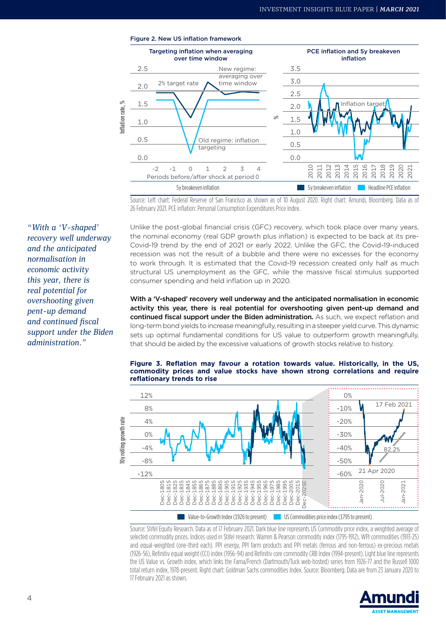

Source: Left chart: Federal Reserve of San Francisco as shown as of 10 August 2020. Right chart: Amundi, Bloomberg. Data as of 26 February 2021. PCE inflation: Personal Consumption Expenditures Price Index.

Unlike the post-global financial crisis (GFC) recovery, which took place over many years, the nominal economy (real GDP growth plus inflation) is expected to be back at its pre-Covid-19 trend by the end of 2021 or early 2022. Unlike the GFC, the Covid-19-induced recession was not the result of a bubble and there were no excesses for the economy to work through. It is estimated that the Covid-19 recession created only half as much structural US unemployment as the GFC, while the massive fiscal stimulus supported consumer spending and held inflation up in 2020.

With a 'V-shaped' recovery well underway and the anticipated normalisation in economic activity this year, there is real potential for overshooting given pent-up demand and continued fiscal support under the Biden administration. As such, we expect reflation and long-term bond yields to increase meaningfully, resulting in a steeper yield curve. This dynamic sets up optimal fundamental conditions for US value to outperform growth meaningfully, that should be aided by the excessive valuations of growth stocks relative to history.



#### **Figure 3. Reflation may favour a rotation towards value. Historically, in the US, commodity prices and value stocks have shown strong correlations and require reflationary trends to rise**

Source: Stifel Equity Research. Data as of 17 February 2021. Dark blue line represents US Commodity price index, a weighted average of selected commodity prices. Indices used in Stifel research: Warren & Pearson commodity index (1795-1912), WPI commodities (1913-25) and equal-weighted (one-third each). PPI energy, PPI farm products and PPI metals (ferrous and non-ferrous) ex-precious metals (1926-56), Refinitiv equal weight (CCI) index (1956-94) and Refinitiv core commodity CRB Index (1994-present). Light blue line represents the US Value vs. Growth index, which links the Fama/French (Dartmouth/Tuck web-hosted) series from 1926-77 and the Russell 1000 total return index, 1978-present. Right chart: Goldman Sachs commodities Index. Source: Bloomberg. Data are from 23 January 2020 to 17 February 2021 as shown.



*"With a 'V-shaped' recovery well underway and the anticipated normalisation in economic activity this year, there is real potential for overshooting given pent-up demand and continued fiscal support under the Biden administration."*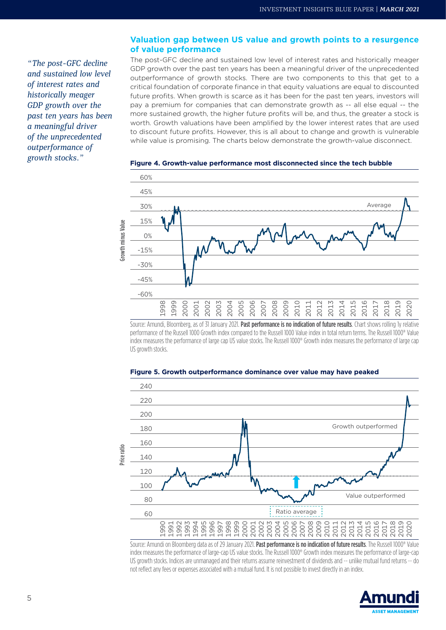*"The post-GFC decline and sustained low level of interest rates and historically meager GDP growth over the past ten years has been a meaningful driver of the unprecedented outperformance of* 

### **Valuation gap between US value and growth points to a resurgence of value performance**

The post-GFC decline and sustained low level of interest rates and historically meager GDP growth over the past ten years has been a meaningful driver of the unprecedented outperformance of growth stocks. There are two components to this that get to a critical foundation of corporate finance in that equity valuations are equal to discounted future profits. When growth is scarce as it has been for the past ten years, investors will pay a premium for companies that can demonstrate growth as -- all else equal -- the more sustained growth, the higher future profits will be, and thus, the greater a stock is worth. Growth valuations have been amplified by the lower interest rates that are used to discount future profits. However, this is all about to change and growth is vulnerable while value is promising. The charts below demonstrate the growth-value disconnect.



*growth stocks."* **Figure 4. Growth-value performance most disconnected since the tech bubble**

Source: Amundi, Bloomberg, as of 31 January 2021. Past performance is no indication of future results. Chart shows rolling 1y relative performance of the Russell 1000 Growth index compared to the Russell 1000 Value index in total return terms. The Russell 1000® Value index measures the performance of large cap US value stocks. The Russell 1000® Growth index measures the performance of large cap US growth stocks.



**Figure 5. Growth outperformance dominance over value may have peaked**

Source: Amundi on Bloomberg data as of 29 January 2021. Past performance is no indication of future results. The Russell 1000<sup>®</sup> Value index measures the performance of large-cap US value stocks. The Russell 1000® Growth index measures the performance of large-cap US growth stocks. Indices are unmanaged and their returns assume reinvestment of dividends and -- unlike mutual fund returns -- do not reflect any fees or expenses associated with a mutual fund. It is not possible to invest directly in an index.

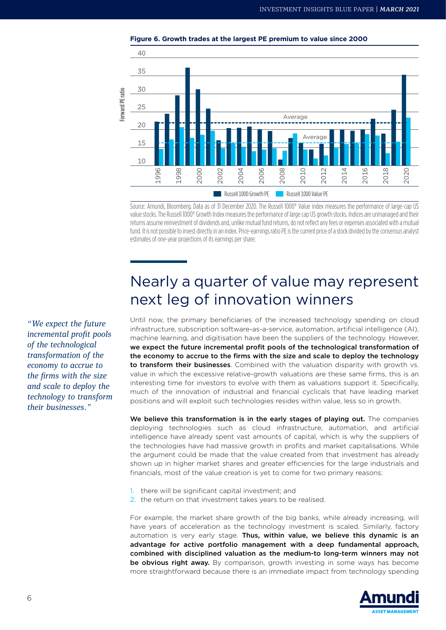

#### **Figure 6. Growth trades at the largest PE premium to value since 2000**

Source: Amundi, Bloomberg. Data as of 31 December 2020. The Russell 1000® Value index measures the performance of large-cap US value stocks. The Russell 1000® Growth Index measures the performance of large cap US growth stocks. Indices are unmanaged and their returns assume reinvestment of dividends and, unlike mutual fund returns, do not reflect any fees or expenses associated with a mutual fund. It is not possible to invest directly in an index. Price-earnings ratio PE is the current price of a stock divided by the consensus analyst estimates of one-year projections of its earnings per share.

*"We expect the future incremental profit pools of the technological transformation of the economy to accrue to the firms with the size and scale to deploy the technology to transform their businesses."*

# Nearly a quarter of value may represent next leg of innovation winners

Until now, the primary beneficiaries of the increased technology spending on cloud infrastructure, subscription software-as-a-service, automation, artificial intelligence (AI), machine learning, and digitisation have been the suppliers of the technology. However, we expect the future incremental profit pools of the technological transformation of the economy to accrue to the firms with the size and scale to deploy the technology to transform their businesses. Combined with the valuation disparity with growth vs. value in which the excessive relative-growth valuations are these same firms, this is an interesting time for investors to evolve with them as valuations support it. Specifically, much of the innovation of industrial and financial cyclicals that have leading market positions and will exploit such technologies resides within value, less so in growth.

We believe this transformation is in the early stages of playing out. The companies deploying technologies such as cloud infrastructure, automation, and artificial intelligence have already spent vast amounts of capital, which is why the suppliers of the technologies have had massive growth in profits and market capitalisations. While the argument could be made that the value created from that investment has already shown up in higher market shares and greater efficiencies for the large industrials and financials, most of the value creation is yet to come for two primary reasons:

- there will be significant capital investment; and
- 2. the return on that investment takes years to be realised.

For example, the market share growth of the big banks, while already increasing, will have years of acceleration as the technology investment is scaled. Similarly, factory automation is very early stage. Thus, within value, we believe this dynamic is an advantage for active portfolio management with a deep fundamental approach, combined with disciplined valuation as the medium-to long-term winners may not be obvious right away. By comparison, growth investing in some ways has become more straightforward because there is an immediate impact from technology spending

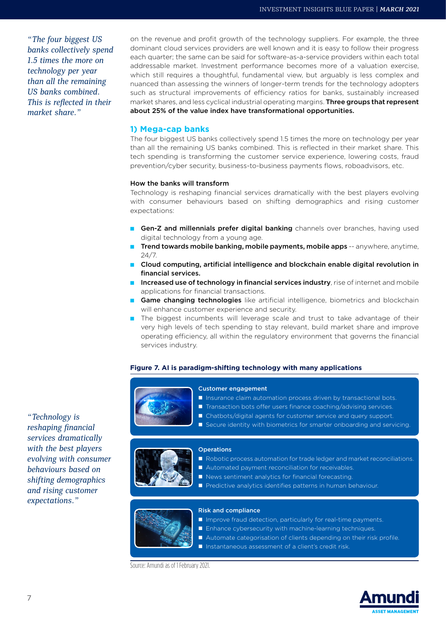*"The four biggest US banks collectively spend 1.5 times the more on technology per year than all the remaining US banks combined. This is reflected in their market share."*

on the revenue and profit growth of the technology suppliers. For example, the three dominant cloud services providers are well known and it is easy to follow their progress each quarter; the same can be said for software-as-a-service providers within each total addressable market. Investment performance becomes more of a valuation exercise, which still requires a thoughtful, fundamental view, but arguably is less complex and nuanced than assessing the winners of longer-term trends for the technology adopters such as structural improvements of efficiency ratios for banks, sustainably increased market shares, and less cyclical industrial operating margins. Three groups that represent about 25% of the value index have transformational opportunities.

#### **1) Mega-cap banks**

The four biggest US banks collectively spend 1.5 times the more on technology per year than all the remaining US banks combined. This is reflected in their market share. This tech spending is transforming the customer service experience, lowering costs, fraud prevention/cyber security, business-to-business payments flows, roboadvisors, etc.

#### How the banks will transform

Technology is reshaping financial services dramatically with the best players evolving with consumer behaviours based on shifting demographics and rising customer expectations:

- Gen-Z and millennials prefer digital banking channels over branches, having used digital technology from a young age.
- Trend towards mobile banking, mobile payments, mobile apps -- anywhere, anytime, 24/7.
- Cloud computing, artificial intelligence and blockchain enable digital revolution in financial services.
- Increased use of technology in financial services industry, rise of internet and mobile applications for financial transactions.
- Game changing technologies like artificial intelligence, biometrics and blockchain will enhance customer experience and security.
- The biggest incumbents will leverage scale and trust to take advantage of their very high levels of tech spending to stay relevant, build market share and improve operating efficiency, all within the regulatory environment that governs the financial services industry.

#### **Figure 7. AI is paradigm-shifting technology with many applications**



#### Customer engagement

- Insurance claim automation process driven by transactional bots.
- Transaction bots offer users finance coaching/advising services.
- Chatbots/digital agents for customer service and query support.
- Secure identity with biometrics for smarter onboarding and servicing.



- 
- Robotic process automation for trade ledger and market reconciliations.
- Automated payment reconciliation for receivables.
- News sentiment analytics for financial forecasting.
- Predictive analytics identifies patterns in human behaviour.

#### Risk and compliance

- **I** Improve fraud detection, particularly for real-time payments.
- **Enhance cybersecurity with machine-learning techniques.**
- Automate categorisation of clients depending on their risk profile.
- Instantaneous assessment of a client's credit risk.

Source: Amundi as of 1 February 2021.



*reshaping financial services dramatically with the best players evolving with consumer behaviours based on shifting demographics and rising customer expectations."*

*"Technology is*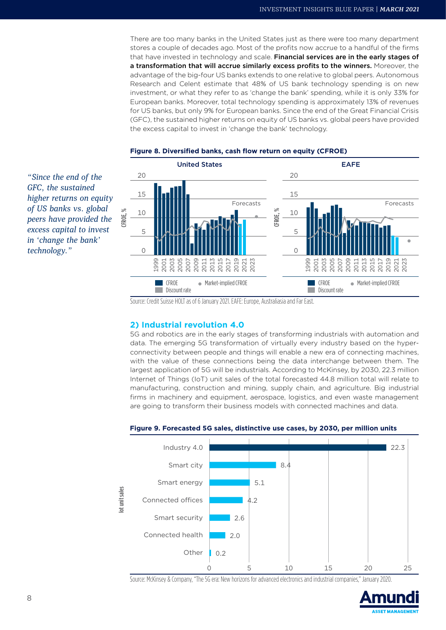There are too many banks in the United States just as there were too many department stores a couple of decades ago. Most of the profits now accrue to a handful of the firms that have invested in technology and scale. Financial services are in the early stages of a transformation that will accrue similarly excess profits to the winners. Moreover, the advantage of the big-four US banks extends to one relative to global peers. Autonomous Research and Celent estimate that 48% of US bank technology spending is on new investment, or what they refer to as 'change the bank' spending, while it is only 33% for European banks. Moreover, total technology spending is approximately 13% of revenues for US banks, but only 9% for European banks. Since the end of the Great Financial Crisis (GFC), the sustained higher returns on equity of US banks vs. global peers have provided the excess capital to invest in 'change the bank' technology.



### **Figure 8. Diversified banks, cash flow return on equity (CFROE)**

#### **2) Industrial revolution 4.0**

5G and robotics are in the early stages of transforming industrials with automation and data. The emerging 5G transformation of virtually every industry based on the hyperconnectivity between people and things will enable a new era of connecting machines, with the value of these connections being the data interchange between them. The largest application of 5G will be industrials. According to McKinsey, by 2030, 22.3 million Internet of Things (IoT) unit sales of the total forecasted 44.8 million total will relate to manufacturing, construction and mining, supply chain, and agriculture. Big industrial firms in machinery and equipment, aerospace, logistics, and even waste management are going to transform their business models with connected machines and data.



#### **Figure 9. Forecasted 5G sales, distinctive use cases, by 2030, per million units**

Source: McKinsey & Company, "The 5G era: New horizons for advanced electronics and industrial companies," January 2020.



*"Since the end of the GFC, the sustained higher returns on equity of US banks vs. global peers have provided the excess capital to invest in 'change the bank'* 

*technology."*

Source: Credit Suisse HOLT as of 6 January 2021. EAFE: Europe, Australiasia and Far East.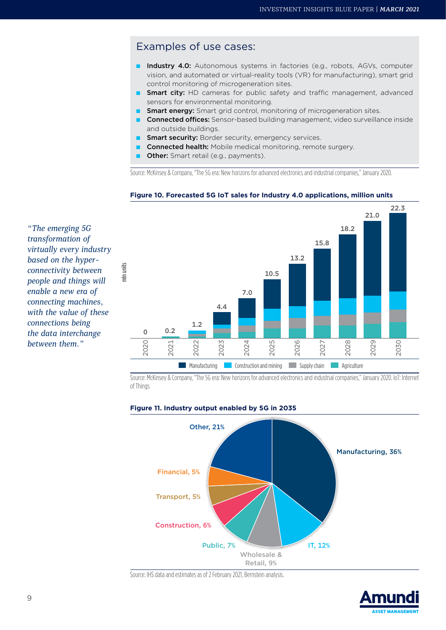### Examples of use cases:

- Industry 4.0: Autonomous systems in factories (e.g., robots, AGVs, computer vision, and automated or virtual-reality tools (VR) for manufacturing), smart grid control monitoring of microgeneration sites.
- Smart city: HD cameras for public safety and traffic management, advanced sensors for environmental monitoring.
- Smart energy: Smart grid control, monitoring of microgeneration sites.
- **Connected offices:** Sensor-based building management, video surveillance inside and outside buildings.
- Smart security: Border security, emergency services.
- **Connected health:** Mobile medical monitoring, remote surgery.
- Other: Smart retail (e.g., payments).

Source: McKinsey & Company, "The 5G era: New horizons for advanced electronics and industrial companies," January 2020.

#### **Figure 10. Forecasted 5G IoT sales for Industry 4.0 applications, million units**

*"The emerging 5G transformation of virtually every industry based on the hyperconnectivity between people and things will enable a new era of connecting machines, with the value of these connections being the data interchange between them."*



Source: McKinsey & Company, "The 5G era: New horizons for advanced electronics and industrial companies," January 2020. IoT: Internet of Things



#### **Figure 11. Industry output enabled by 5G in 2035**

Source: IHS data and estimates as of 2 February 2021, Bernstein analysis.

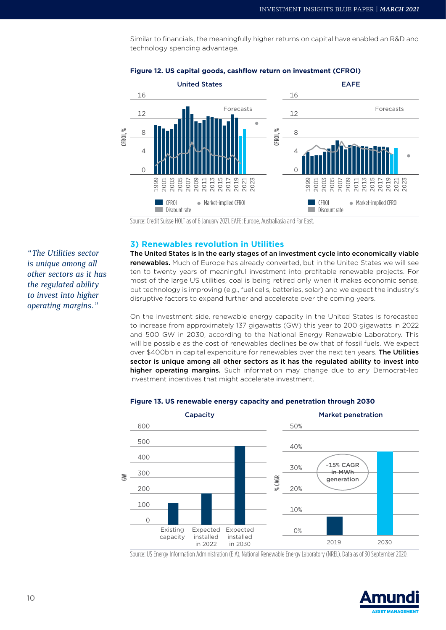Similar to financials, the meaningfully higher returns on capital have enabled an R&D and technology spending advantage.



#### **Figure 12. US capital goods, cashflow return on investment (CFROI)**

Source: Credit Suisse HOLT as of 6 January 2021. EAFE: Europe, Australiasia and Far East.

### **3) Renewables revolution in Utilities**

*"The Utilities sector is unique among all other sectors as it has the regulated ability to invest into higher operating margins."*

The United States is in the early stages of an investment cycle into economically viable renewables. Much of Europe has already converted, but in the United States we will see ten to twenty years of meaningful investment into profitable renewable projects. For most of the large US utilities, coal is being retired only when it makes economic sense, but technology is improving (e.g., fuel cells, batteries, solar) and we expect the industry's disruptive factors to expand further and accelerate over the coming years.

On the investment side, renewable energy capacity in the United States is forecasted to increase from approximately 137 gigawatts (GW) this year to 200 gigawatts in 2022 and 500 GW in 2030, according to the National Energy Renewable Laboratory. This will be possible as the cost of renewables declines below that of fossil fuels. We expect over \$400bn in capital expenditure for renewables over the next ten years. **The Utilities** sector is unique among all other sectors as it has the regulated ability to invest into higher operating margins. Such information may change due to any Democrat-led investment incentives that might accelerate investment.



#### **Figure 13. US renewable energy capacity and penetration through 2030**

Source: US Energy Information Administration (EIA), National Renewable Energy Laboratory (NREL). Data as of 30 September 2020.

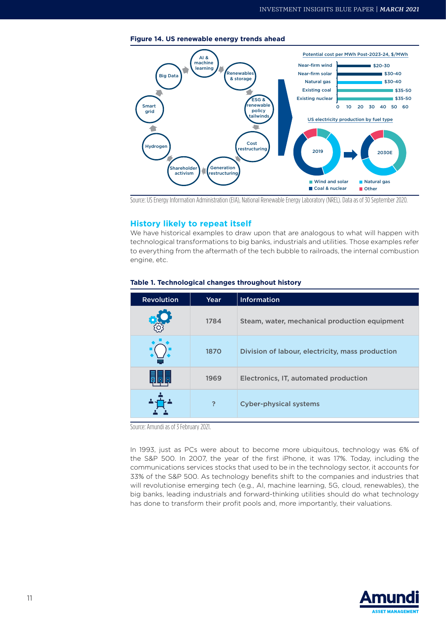



Source: US Energy Information Administration (EIA), National Renewable Energy Laboratory (NREL). Data as of 30 September 2020.

#### **History likely to repeat itself**

We have historical examples to draw upon that are analogous to what will happen with technological transformations to big banks, industrials and utilities. Those examples refer to everything from the aftermath of the tech bubble to railroads, the internal combustion engine, etc.

| <b>Revolution</b> | Year | <b>Information</b>                               |
|-------------------|------|--------------------------------------------------|
|                   | 1784 | Steam, water, mechanical production equipment    |
|                   | 1870 | Division of labour, electricity, mass production |
|                   | 1969 | Electronics, IT, automated production            |
|                   |      | <b>Cyber-physical systems</b>                    |

#### **Table 1. Technological changes throughout history**

Source: Amundi as of 3 February 2021.

In 1993, just as PCs were about to become more ubiquitous, technology was 6% of the S&P 500. In 2007, the year of the first iPhone, it was 17%. Today, including the communications services stocks that used to be in the technology sector, it accounts for 33% of the S&P 500. As technology benefits shift to the companies and industries that will revolutionise emerging tech (e.g., AI, machine learning, 5G, cloud, renewables), the big banks, leading industrials and forward-thinking utilities should do what technology has done to transform their profit pools and, more importantly, their valuations.

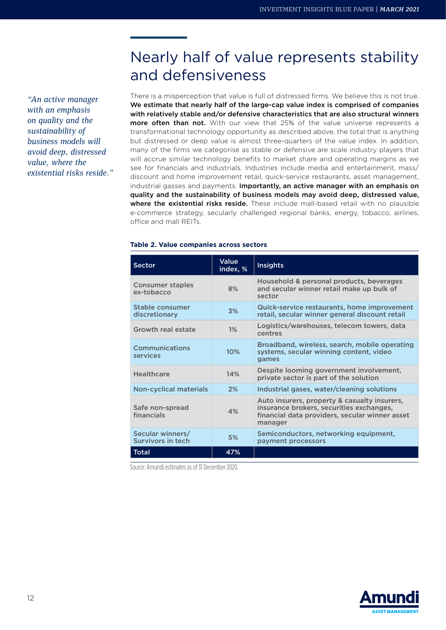*"An active manager with an emphasis on quality and the sustainability of business models will avoid deep, distressed value, where the existential risks reside."*

# Nearly half of value represents stability and defensiveness

There is a misperception that value is full of distressed firms. We believe this is not true. We estimate that nearly half of the large-cap value index is comprised of companies with relatively stable and/or defensive characteristics that are also structural winners more often than not. With our view that 25% of the value universe represents a transformational technology opportunity as described above, the total that is anything but distressed or deep value is almost three-quarters of the value index. In addition, many of the firms we categorise as stable or defensive are scale industry players that will accrue similar technology benefits to market share and operating margins as we see for financials and industrials. Industries include media and entertainment, mass/ discount and home improvement retail, quick-service restaurants, asset management, industrial gasses and payments. Importantly, an active manager with an emphasis on quality and the sustainability of business models may avoid deep, distressed value, where the existential risks reside. These include mall-based retail with no plausible e-commerce strategy, secularly challenged regional banks, energy, tobacco, airlines, office and mall REITs.

#### **Table 2. Value companies across sectors**

| <b>Sector</b>                                | Value<br>index, % | <b>Insights</b>                                                                                                                                       |
|----------------------------------------------|-------------------|-------------------------------------------------------------------------------------------------------------------------------------------------------|
| <b>Consumer staples</b><br>ex-tobacco        | 8%                | Household & personal products, beverages<br>and secular winner retail make up bulk of<br>sector                                                       |
| Stable consumer<br>discretionary             | 3%                | Quick-service restaurants, home improvement<br>retail, secular winner general discount retail                                                         |
| Growth real estate                           | $1\%$             | Logistics/warehouses, telecom towers, data<br>centres                                                                                                 |
| Communications<br>services                   | 10%               | Broadband, wireless, search, mobile operating<br>systems, secular winning content, video<br>games                                                     |
| <b>Healthcare</b>                            | 14%               | Despite looming government involvement,<br>private sector is part of the solution                                                                     |
| <b>Non-cyclical materials</b>                | 2%                | Industrial gases, water/cleaning solutions                                                                                                            |
| Safe non-spread<br>financials                | 4%                | Auto insurers, property & casualty insurers,<br>insurance brokers, securities exchanges,<br>financial data providers, secular winner asset<br>manager |
| Secular winners/<br><b>Survivors in tech</b> | 5%                | Semiconductors, networking equipment,<br>payment processors                                                                                           |
| <b>Total</b>                                 | 47%               |                                                                                                                                                       |

Source: Amundi estimates as of 31 December 2020.

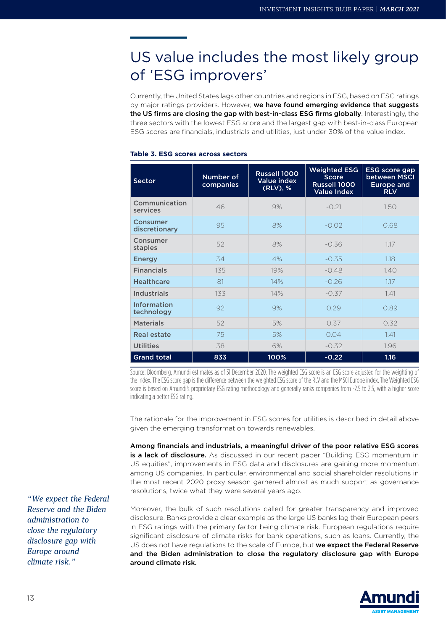# US value includes the most likely group of 'ESG improvers'

Currently, the United States lags other countries and regions in ESG, based on ESG ratings by major ratings providers. However, we have found emerging evidence that suggests the US firms are closing the gap with best-in-class ESG firms globally. Interestingly, the three sectors with the lowest ESG score and the largest gap with best-in-class European ESG scores are financials, industrials and utilities, just under 30% of the value index.

| <b>Sector</b>                    | Number of<br>companies | Russell 1000<br><b>Value index</b><br>(RLV), % | <b>Weighted ESG</b><br><b>Score</b><br>Russell 1000<br><b>Value Index</b> | <b>ESG</b> score gap<br>between MSCI<br><b>Europe and</b><br><b>RLV</b> |  |
|----------------------------------|------------------------|------------------------------------------------|---------------------------------------------------------------------------|-------------------------------------------------------------------------|--|
| Communication<br>services        | 46                     | 9%                                             | $-0.21$                                                                   | 1.50                                                                    |  |
| Consumer<br>discretionary        | 95                     | 8%                                             | $-0.02$                                                                   | 0.68                                                                    |  |
| Consumer<br>staples              | 52                     | 8%                                             | $-0.36$                                                                   | 1.17                                                                    |  |
| <b>Energy</b>                    | 34                     | 4%                                             | $-0.35$                                                                   | 118                                                                     |  |
| <b>Financials</b>                | 135                    | 19%                                            | $-0.48$                                                                   | 1.40                                                                    |  |
| <b>Healthcare</b>                | 81                     | 14%                                            | $-0.26$                                                                   | 117                                                                     |  |
| <b>Industrials</b>               | 133                    | 14%                                            | $-0.37$                                                                   | 1,41                                                                    |  |
| <b>Information</b><br>technology | 92                     | 9%                                             | 0.29                                                                      | 0.89                                                                    |  |
| <b>Materials</b>                 | 52                     | 5%                                             | 0.37                                                                      | 0.32                                                                    |  |
| Real estate                      | 75                     | 5%                                             | 0.04                                                                      | 141                                                                     |  |
| <b>Utilities</b>                 | 38                     | 6%                                             | $-0.32$                                                                   | 1.96                                                                    |  |
| <b>Grand total</b>               | 833                    | 100%                                           | $-0.22$                                                                   | 1.16                                                                    |  |

#### **Table 3. ESG scores across sectors**

Source: Bloomberg, Amundi estimates as of 31 December 2020. The weighted ESG score is an ESG score adjusted for the weighting of the index. The ESG score gap is the difference between the weighted ESG score of the RLV and the MSCI Europe index. The Weighted ESG score is based on Amundi's proprietary ESG rating methodology and generally ranks companies from -2.5 to 2.5, with a higher score indicating a better ESG rating.

The rationale for the improvement in ESG scores for utilities is described in detail above given the emerging transformation towards renewables.

Among financials and industrials, a meaningful driver of the poor relative ESG scores is a lack of disclosure. As discussed in our recent paper "Building ESG momentum in US equities", improvements in ESG data and disclosures are gaining more momentum among US companies. In particular, environmental and social shareholder resolutions in the most recent 2020 proxy season garnered almost as much support as governance resolutions, twice what they were several years ago.

Moreover, the bulk of such resolutions called for greater transparency and improved disclosure. Banks provide a clear example as the large US banks lag their European peers in ESG ratings with the primary factor being climate risk. European regulations require significant disclosure of climate risks for bank operations, such as loans. Currently, the US does not have regulations to the scale of Europe, but we expect the Federal Reserve and the Biden administration to close the regulatory disclosure gap with Europe around climate risk.



*"We expect the Federal Reserve and the Biden administration to close the regulatory disclosure gap with Europe around climate risk."*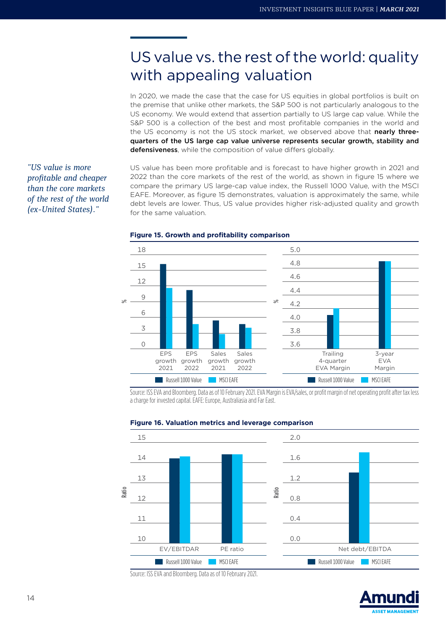# US value vs. the rest of the world: quality with appealing valuation

In 2020, we made the case that the case for US equities in global portfolios is built on the premise that unlike other markets, the S&P 500 is not particularly analogous to the US economy. We would extend that assertion partially to US large cap value. While the S&P 500 is a collection of the best and most profitable companies in the world and the US economy is not the US stock market, we observed above that nearly threequarters of the US large cap value universe represents secular growth, stability and defensiveness, while the composition of value differs globally.

*"US value is more profitable and cheaper than the core markets of the rest of the world (ex-United States)."*

US value has been more profitable and is forecast to have higher growth in 2021 and 2022 than the core markets of the rest of the world, as shown in figure 15 where we compare the primary US large-cap value index, the Russell 1000 Value, with the MSCI EAFE. Moreover, as figure 15 demonstrates, valuation is approximately the same, while debt levels are lower. Thus, US value provides higher risk-adjusted quality and growth for the same valuation.



#### **Figure 15. Growth and profitability comparison**

Source: ISS EVA and Bloomberg. Data as of 10 February 2021. EVA Margin is EVA/sales, or profit margin of net operating profit after tax less a charge for invested capital. EAFE: Europe, Australiasia and Far East.



#### **Figure 16. Valuation metrics and leverage comparison**

Source: ISS EVA and Bloomberg. Data as of 10 February 2021.

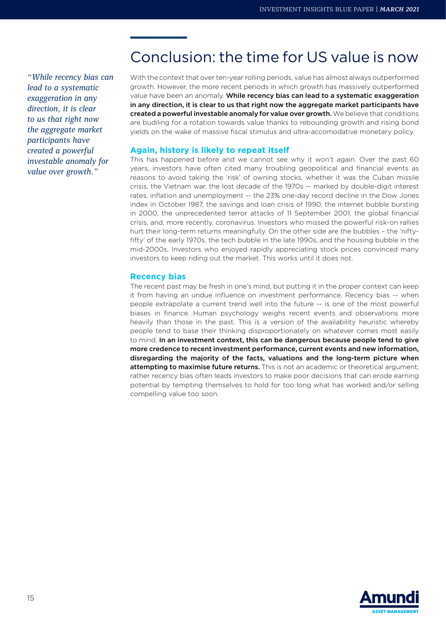*"While recency bias can lead to a systematic exaggeration in any direction, it is clear to us that right now the aggregate market participants have created a powerful investable anomaly for value over growth."*

# Conclusion: the time for US value is now

With the context that over ten-year rolling periods, value has almost always outperformed growth. However, the more recent periods in which growth has massively outperformed value have been an anomaly. While recency bias can lead to a systematic exaggeration in any direction, it is clear to us that right now the aggregate market participants have created a powerful investable anomaly for value over growth. We believe that conditions are budiling for a rotation towards value thanks to rebounding growth and rising bond yields on the wake of massive fiscal stimulus and ultra-accomodative monetary policy.

### **Again, history is likely to repeat itself**

This has happened before and we cannot see why it won't again. Over the past 60 years, investors have often cited many troubling geopolitical and financial events as reasons to avoid taking the 'risk' of owning stocks, whether it was the Cuban missile crisis, the Vietnam war, the lost decade of the 1970s -- marked by double-digit interest rates, inflation and unemployment -- the 23% one-day record decline in the Dow Jones index in October 1987, the savings and loan crisis of 1990, the internet bubble bursting in 2000, the unprecedented terror attacks of 11 September 2001, the global financial crisis, and, more recently, coronavirus. Investors who missed the powerful risk-on rallies hurt their long-term returns meaningfully. On the other side are the bubbles – the 'niftyfifty' of the early 1970s, the tech bubble in the late 1990s, and the housing bubble in the mid-2000s. Investors who enjoyed rapidly appreciating stock prices convinced many investors to keep riding out the market. This works until it does not.

#### **Recency bias**

The recent past may be fresh in one's mind, but putting it in the proper context can keep it from having an undue influence on investment performance. Recency bias -- when people extrapolate a current trend well into the future -- is one of the most powerful biases in finance. Human psychology weighs recent events and observations more heavily than those in the past. This is a version of the availability heuristic whereby people tend to base their thinking disproportionately on whatever comes most easily to mind. In an investment context, this can be dangerous because people tend to give more credence to recent investment performance, current events and new information, disregarding the majority of the facts, valuations and the long-term picture when attempting to maximise future returns. This is not an academic or theoretical argument: rather recency bias often leads investors to make poor decisions that can erode earning potential by tempting themselves to hold for too long what has worked and/or selling compelling value too soon.

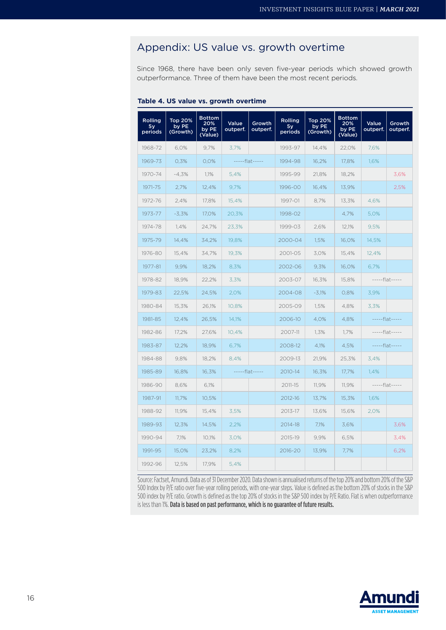### Appendix: US value vs. growth overtime

Since 1968, there have been only seven five-year periods which showed growth outperformance. Three of them have been the most recent periods.

| Rolling<br>5y<br>periods | <b>Top 20%</b><br>by PE<br>(Growth) | <b>Bottom</b><br>20%<br>by PE<br>(Value) | Value<br>outperf. | Growth<br>outperf. | Rolling<br>5y<br>periods | <b>Top 20%</b><br>by PE<br>(Growth) | <b>Bottom</b><br>20%<br>by PE<br>(Value) | Value<br>outperf. | Growth<br>outperf. |
|--------------------------|-------------------------------------|------------------------------------------|-------------------|--------------------|--------------------------|-------------------------------------|------------------------------------------|-------------------|--------------------|
| 1968-72                  | 6,0%                                | 9.7%                                     | 3,7%              |                    | 1993-97                  | 14,4%                               | 22,0%                                    | 7,6%              |                    |
| 1969-73                  | 0.3%                                | 0.0%                                     | ------flat-----   |                    | 1994-98                  | 16,2%                               | 17,8%                                    | 1,6%              |                    |
| 1970-74                  | $-4.3%$                             | 1.1%                                     | 5.4%              |                    | 1995-99                  | 21,8%                               | 18.2%                                    |                   | 3,6%               |
| 1971-75                  | 2.7%                                | 12.4%                                    | 9.7%              |                    | 1996-00                  | 16.4%                               | 13.9%                                    |                   | 2,5%               |
| 1972-76                  | 2,4%                                | 17,8%                                    | 15,4%             |                    | 1997-01                  | 8,7%                                | 13,3%                                    | 4,6%              |                    |
| 1973-77                  | $-3,3%$                             | 17,0%                                    | 20,3%             |                    | 1998-02                  |                                     | 4,7%                                     | 5,0%              |                    |
| 1974-78                  | 1.4%                                | 24,7%                                    | 23,3%             |                    | 1999-03                  | 2.6%                                | 12,1%                                    | 9,5%              |                    |
| 1975-79                  | 14,4%                               | 34,2%                                    | 19,8%             |                    | 2000-04                  | 1,5%                                | 16,0%                                    | 14,5%             |                    |
| 1976-80                  | 15.4%                               | 34.7%                                    | 19.3%             |                    | 2001-05                  | 3.0%                                | 15.4%                                    | 12,4%             |                    |
| 1977-81                  | 9,9%                                | 18,2%                                    | 8,3%              |                    | 2002-06                  | 9,3%                                | 16,0%                                    | 6,7%              |                    |
| 1978-82                  | 18,9%                               | 22,2%                                    | 3,3%              |                    | 2003-07                  | 16,3%                               | 15,8%                                    | -----flat-----    |                    |
| 1979-83                  | 22,5%                               | 24,5%                                    | 2,0%              |                    | 2004-08                  | $-3,1%$                             | 0,8%                                     | 3.9%              |                    |
| 1980-84                  | 15,3%                               | 26,1%                                    | 10,8%             |                    | 2005-09                  | 1,5%                                | 4,8%                                     | 3,3%              |                    |
| 1981-85                  | 12,4%                               | 26,5%                                    | 14,1%             |                    | 2006-10                  | 4,0%                                | 4,8%                                     | -----flat-----    |                    |
| 1982-86                  | 17,2%                               | 27,6%                                    | 10,4%             |                    | 2007-11                  | 1,3%                                | 1,7%                                     | -----flat-----    |                    |
| 1983-87                  | 12,2%                               | 18,9%                                    | 6,7%              |                    | 2008-12                  | 4,1%                                | 4,5%                                     | ------flat-----   |                    |
| 1984-88                  | 9,8%                                | 18,2%                                    | 8,4%              |                    | 2009-13                  | 21,9%                               | 25,3%                                    | 3.4%              |                    |
| 1985-89                  | 16,8%                               | 16,3%                                    |                   | -----flat-----     | 2010-14                  | 16,3%                               | 17,7%                                    | 1.4%              |                    |
| 1986-90                  | 8,6%                                | 6,1%                                     |                   |                    | 2011-15                  | 11,9%                               | 11,9%                                    | -----flat-----    |                    |
| 1987-91                  | 11,7%                               | 10.5%                                    |                   |                    | 2012-16                  | 13,7%                               | 15,3%                                    | 1.6%              |                    |
| 1988-92                  | 11.9%                               | 15,4%                                    | 3.5%              |                    | 2013-17                  | 13,6%                               | 15,6%                                    | 2.0%              |                    |
| 1989-93                  | 12,3%                               | 14,5%                                    | 2,2%              |                    | 2014-18                  | 7,1%                                | 3,6%                                     |                   | 3,6%               |
| 1990-94                  | 7,1%                                | 10,1%                                    | 3,0%              |                    | 2015-19                  | 9,9%                                | 6,5%                                     |                   | 3,4%               |
| 1991-95                  | 15,0%                               | 23,2%                                    | 8,2%              |                    | 2016-20                  | 13,9%                               | 7,7%                                     |                   | 6,2%               |
| 1992-96                  | 12.5%                               | 17.9%                                    | 5.4%              |                    |                          |                                     |                                          |                   |                    |

#### **Table 4. US value vs. growth overtime**

Source: Factset, Amundi. Data as of 31 December 2020. Data shown is annualised returns of the top 20% and bottom 20% of the S&P 500 Index by P/E ratio over five-year rolling periods, with one-year steps. Value is defined as the bottom 20% of stocks in the S&P 500 index by P/E ratio. Growth is defined as the top 20% of stocks in the S&P 500 index by P/E Ratio. Flat is when outperformance is less than 1%. Data is based on past performance, which is no guarantee of future results.

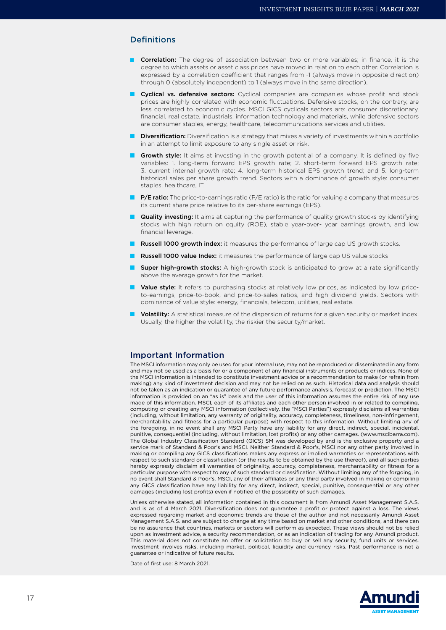#### Definitions

- Correlation: The degree of association between two or more variables; in finance, it is the degree to which assets or asset class prices have moved in relation to each other. Correlation is expressed by a correlation coefficient that ranges from -1 (always move in opposite direction) through 0 (absolutely independent) to 1 (always move in the same direction).
- Cyclical vs. defensive sectors: Cyclical companies are companies whose profit and stock prices are highly correlated with economic fluctuations. Defensive stocks, on the contrary, are less correlated to economic cycles. MSCI GICS cyclicals sectors are: consumer discretionary, financial, real estate, industrials, information technology and materials, while defensive sectors are consumer staples, energy, healthcare, telecommunications services and utilities.
- Diversification: Diversification is a strategy that mixes a variety of investments within a portfolio in an attempt to limit exposure to any single asset or risk.
- Growth style: It aims at investing in the growth potential of a company. It is defined by five variables: 1. long-term forward EPS growth rate; 2. short-term forward EPS growth rate; 3. current internal growth rate; 4. long-term historical EPS growth trend; and 5. long-term historical sales per share growth trend. Sectors with a dominance of growth style: consumer staples, healthcare, IT.
- **P/E ratio:** The price-to-earnings ratio ( $P/E$  ratio) is the ratio for valuing a company that measures its current share price relative to its per-share earnings (EPS).
- **Quality investing:** It aims at capturing the performance of quality growth stocks by identifying stocks with high return on equity (ROE), stable year-over- year earnings growth, and low financial leverage.
- Russell 1000 growth index: it measures the performance of large cap US growth stocks.
- Russell 1000 value Index: it measures the performance of large cap US value stocks
- **Super high-growth stocks:** A high-growth stock is anticipated to grow at a rate significantly above the average growth for the market.
- Value style: It refers to purchasing stocks at relatively low prices, as indicated by low priceto-earnings, price-to-book, and price-to-sales ratios, and high dividend yields. Sectors with dominance of value style: energy, financials, telecom, utilities, real estate.
- Volatility: A statistical measure of the dispersion of returns for a given security or market index. Usually, the higher the volatility, the riskier the security/market.

#### Important Information

The MSCI information may only be used for your internal use, may not be reproduced or disseminated in any form and may not be used as a basis for or a component of any financial instruments or products or indices. None of the MSCI information is intended to constitute investment advice or a recommendation to make (or refrain from making) any kind of investment decision and may not be relied on as such. Historical data and analysis should not be taken as an indication or guarantee of any future performance analysis, forecast or prediction. The MSCI information is provided on an "as is" basis and the user of this information assumes the entire risk of any use made of this information. MSCI, each of its affiliates and each other person involved in or related to compiling, computing or creating any MSCI information (collectively, the "MSCI Parties") expressly disclaims all warranties (including, without limitation, any warranty of originality, accuracy, completeness, timeliness, non-infringement, merchantability and fitness for a particular purpose) with respect to this information. Without limiting any of the foregoing, in no event shall any MSCI Party have any liability for any direct, indirect, special, incidental, punitive, consequential (including, without limitation, lost profits) or any other damages. (www.mscibarra.com). The Global Industry Classification Standard (GICS) SM was developed by and is the exclusive property and a service mark of Standard & Poor's and MSCI. Neither Standard & Poor's, MSCI nor any other party involved in making or compiling any GICS classifications makes any express or implied warranties or representations with respect to such standard or classification (or the results to be obtained by the use thereof), and all such parties hereby expressly disclaim all warranties of originality, accuracy, completeness, merchantability or fitness for a particular purpose with respect to any of such standard or classification. Without limiting any of the forgoing, in no event shall Standard & Poor's, MSCI, any of their affiliates or any third party involved in making or compiling any GICS classification have any liability for any direct, indirect, special, punitive, consequential or any other damages (including lost profits) even if notified of the possibility of such damages.

Unless otherwise stated, all information contained in this document is from Amundi Asset Management S.A.S. and is as of 4 March 2021. Diversification does not guarantee a profit or protect against a loss. The views expressed regarding market and economic trends are those of the author and not necessarily Amundi Asset Management S.A.S. and are subject to change at any time based on market and other conditions, and there can be no assurance that countries, markets or sectors will perform as expected. These views should not be relied upon as investment advice, a security recommendation, or as an indication of trading for any Amundi product. This material does not constitute an offer or solicitation to buy or sell any security, fund units or services. Investment involves risks, including market, political, liquidity and currency risks. Past performance is not a guarantee or indicative of future results.

Date of first use: 8 March 2021